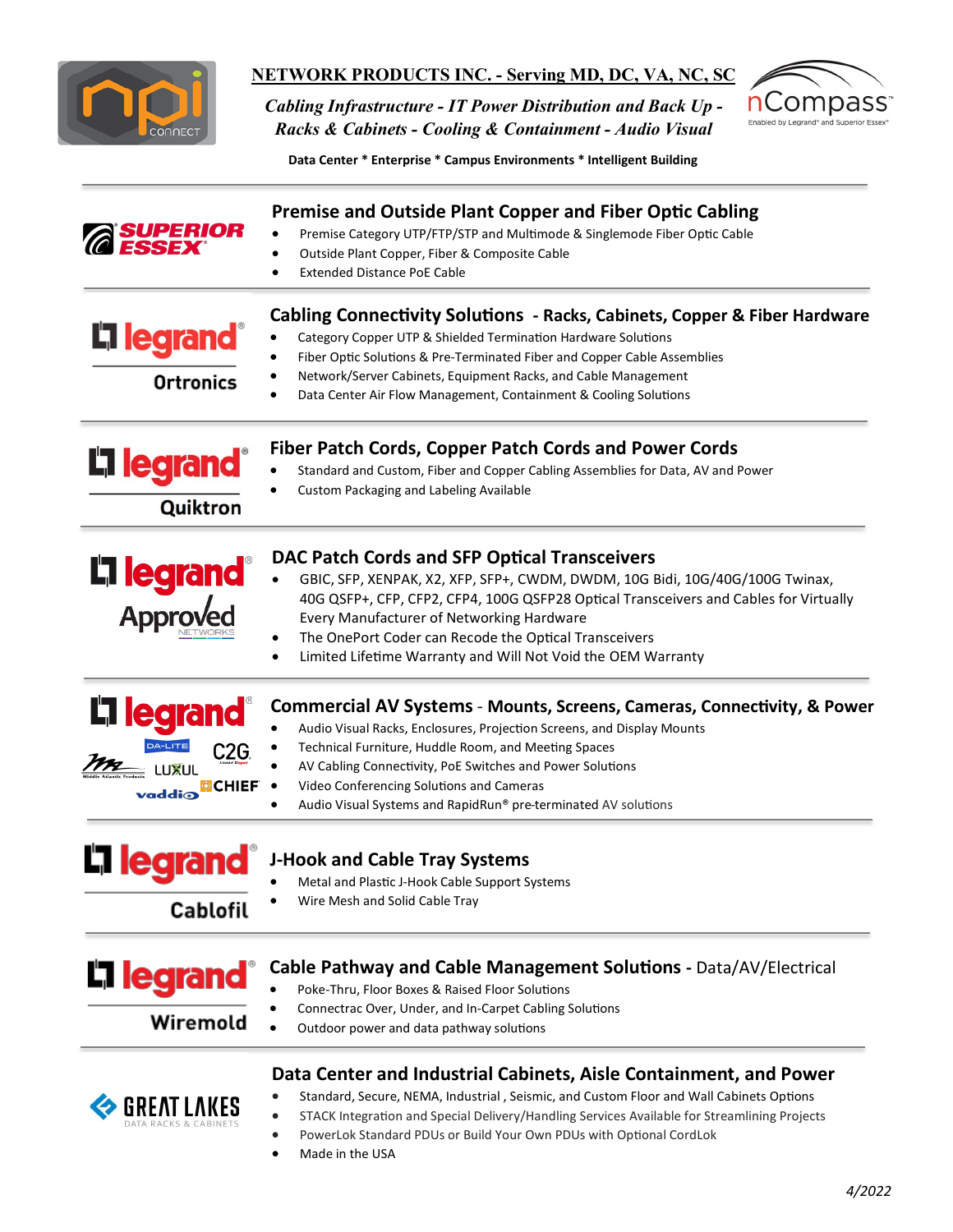

# **NETWORK PRODUCTS INC. - Serving MD, DC, VA, NC, SC**

*Cabling Infrastructure - IT Power Distribution and Back Up - Racks & Cabinets - Cooling & Containment - Audio Visual* 



**Data Center \* Enterprise \* Campus Environments \* Intelligent Building**

|                                                    | <b>Premise and Outside Plant Copper and Fiber Optic Cabling</b><br>Premise Category UTP/FTP/STP and Multimode & Singlemode Fiber Optic Cable<br>Outside Plant Copper, Fiber & Composite Cable<br>٠<br><b>Extended Distance PoE Cable</b><br>$\bullet$<br><b>Cabling Connectivity Solutions - Racks, Cabinets, Copper &amp; Fiber Hardware</b><br>Category Copper UTP & Shielded Termination Hardware Solutions<br>Fiber Optic Solutions & Pre-Terminated Fiber and Copper Cable Assemblies<br>Network/Server Cabinets, Equipment Racks, and Cable Management<br>Data Center Air Flow Management, Containment & Cooling Solutions |  |  |  |
|----------------------------------------------------|----------------------------------------------------------------------------------------------------------------------------------------------------------------------------------------------------------------------------------------------------------------------------------------------------------------------------------------------------------------------------------------------------------------------------------------------------------------------------------------------------------------------------------------------------------------------------------------------------------------------------------|--|--|--|
| <b>L'i legrand</b><br><b>Ortronics</b>             |                                                                                                                                                                                                                                                                                                                                                                                                                                                                                                                                                                                                                                  |  |  |  |
| <b>Li legrand</b><br>Quiktron                      | Fiber Patch Cords, Copper Patch Cords and Power Cords<br>Standard and Custom, Fiber and Copper Cabling Assemblies for Data, AV and Power<br>Custom Packaging and Labeling Available                                                                                                                                                                                                                                                                                                                                                                                                                                              |  |  |  |
| L <sub>legrand</sub><br><b>Approy</b>              | DAC Patch Cords and SFP Optical Transceivers<br>GBIC, SFP, XENPAK, X2, XFP, SFP+, CWDM, DWDM, 10G Bidi, 10G/40G/100G Twinax,<br>40G QSFP+, CFP, CFP2, CFP4, 100G QSFP28 Optical Transceivers and Cables for Virtually<br>Every Manufacturer of Networking Hardware<br>The OnePort Coder can Recode the Optical Transceivers<br>٠<br>Limited Lifetime Warranty and Will Not Void the OEM Warranty<br>$\bullet$                                                                                                                                                                                                                    |  |  |  |
| legran<br>C2G.<br>LUXUL<br><b>OCHIEF</b><br>vaddio | <b>Commercial AV Systems - Mounts, Screens, Cameras, Connectivity, &amp; Power</b><br>Audio Visual Racks, Enclosures, Projection Screens, and Display Mounts<br>Technical Furniture, Huddle Room, and Meeting Spaces<br>AV Cabling Connectivity, PoE Switches and Power Solutions<br>Video Conferencing Solutions and Cameras<br>Audio Visual Systems and RapidRun® pre-terminated AV solutions                                                                                                                                                                                                                                  |  |  |  |
| <b>Cablofil</b>                                    | <b>J-Hook and Cable Tray Systems</b><br>Metal and Plastic J-Hook Cable Support Systems<br>Wire Mesh and Solid Cable Tray                                                                                                                                                                                                                                                                                                                                                                                                                                                                                                         |  |  |  |
| <b>L1 legrand</b><br>Wiremold                      | Cable Pathway and Cable Management Solutions - Data/AV/Electrical<br>Poke-Thru, Floor Boxes & Raised Floor Solutions<br>Connectrac Over, Under, and In-Carpet Cabling Solutions<br>Outdoor power and data pathway solutions                                                                                                                                                                                                                                                                                                                                                                                                      |  |  |  |
|                                                    | Data Center and Industrial Cabinets, Aisle Containment, and Power<br>Standard, Secure, NEMA, Industrial, Seismic, and Custom Floor and Wall Cabinets Options<br>STACK Integration and Special Delivery/Handling Services Available for Streamlining Projects                                                                                                                                                                                                                                                                                                                                                                     |  |  |  |

- PowerLok Standard PDUs or Build Your Own PDUs with Optional CordLok
- Made in the USA